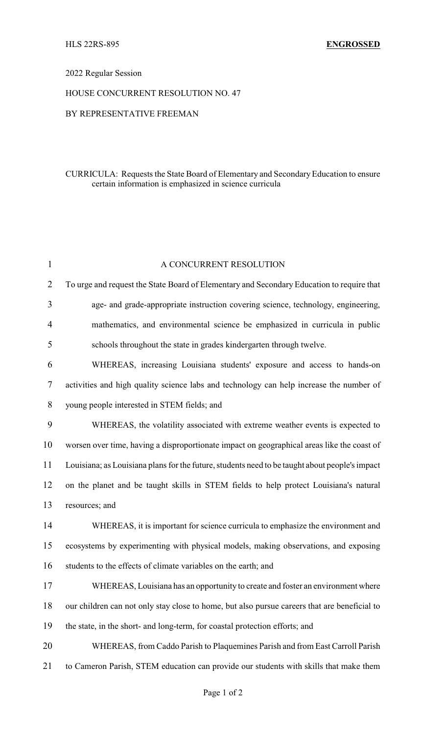## 2022 Regular Session

#### HOUSE CONCURRENT RESOLUTION NO. 47

### BY REPRESENTATIVE FREEMAN

## CURRICULA: Requests the State Board of Elementary and SecondaryEducation to ensure certain information is emphasized in science curricula

| $\mathbf{1}$   | A CONCURRENT RESOLUTION                                                                        |
|----------------|------------------------------------------------------------------------------------------------|
| $\overline{2}$ | To urge and request the State Board of Elementary and Secondary Education to require that      |
| 3              | age- and grade-appropriate instruction covering science, technology, engineering,              |
| 4              | mathematics, and environmental science be emphasized in curricula in public                    |
| 5              | schools throughout the state in grades kindergarten through twelve.                            |
| 6              | WHEREAS, increasing Louisiana students' exposure and access to hands-on                        |
| 7              | activities and high quality science labs and technology can help increase the number of        |
| 8              | young people interested in STEM fields; and                                                    |
| 9              | WHEREAS, the volatility associated with extreme weather events is expected to                  |
| 10             | worsen over time, having a disproportionate impact on geographical areas like the coast of     |
| 11             | Louisiana; as Louisiana plans for the future, students need to be taught about people's impact |
| 12             | on the planet and be taught skills in STEM fields to help protect Louisiana's natural          |
| 13             | resources; and                                                                                 |
| 14             | WHEREAS, it is important for science curricula to emphasize the environment and                |
| 15             | ecosystems by experimenting with physical models, making observations, and exposing            |
| 16             | students to the effects of climate variables on the earth; and                                 |
| 17             | WHEREAS, Louisiana has an opportunity to create and foster an environment where                |
| 18             | our children can not only stay close to home, but also pursue careers that are beneficial to   |
| 19             | the state, in the short- and long-term, for coastal protection efforts; and                    |
| 20             | WHEREAS, from Caddo Parish to Plaquemines Parish and from East Carroll Parish                  |
| 21             | to Cameron Parish, STEM education can provide our students with skills that make them          |